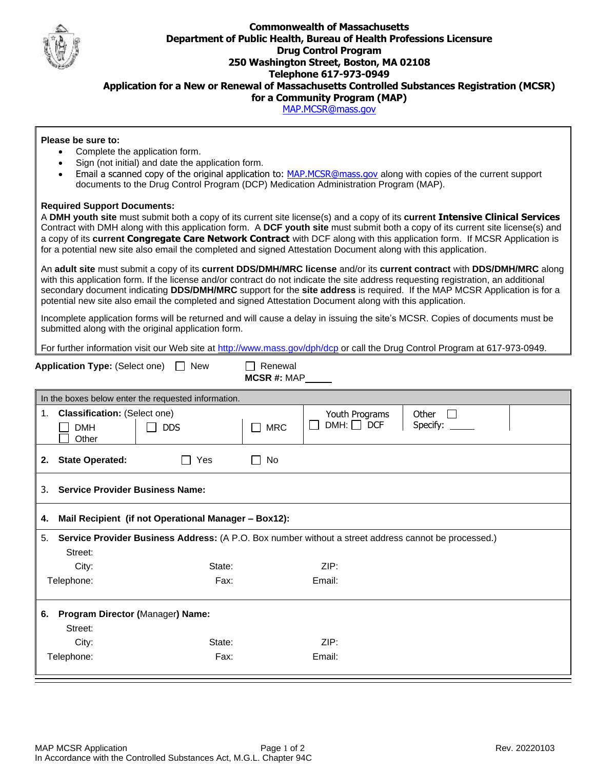

## **Commonwealth of Massachusetts Department of Public Health, Bureau of Health Professions Licensure Drug Control Program 250 Washington Street, Boston, MA 02108 Telephone 617-973-0949 Application for a New or Renewal of Massachusetts Controlled Substances Registration (MCSR) for a Community Program (MAP)**

[MAP.MCSR@mass.gov](mailto:MAP.MCSR@mass.gov)

## **Please be sure to:**

- Complete the application form.
- Sign (not initial) and date the application form.
- Email a scanned copy of the original application to: [MAP.MCSR@mass.gov](mailto:MAP.MCSR@mass.gov) along with copies of the current support documents to the Drug Control Program (DCP) Medication Administration Program (MAP).

## **Required Support Documents:**

A **DMH youth site** must submit both a copy of its current site license(s) and a copy of its **current Intensive Clinical Services** Contract with DMH along with this application form. A **DCF youth site** must submit both a copy of its current site license(s) and a copy of its **current Congregate Care Network Contract** with DCF along with this application form. If MCSR Application is for a potential new site also email the completed and signed Attestation Document along with this application.

An **adult site** must submit a copy of its **current DDS/DMH/MRC license** and/or its **current contract** with **DDS/DMH/MRC** along with this application form. If the license and/or contract do not indicate the site address requesting registration, an additional secondary document indicating **DDS/DMH/MRC** support for the **site address** is required. If the MAP MCSR Application is for a potential new site also email the completed and signed Attestation Document along with this application.

Incomplete application forms will be returned and will cause a delay in issuing the site's MCSR. Copies of documents must be submitted along with the original application form.

For further information visit our Web site at<http://www.mass.gov/dph/dcp> or call the Drug Control Program at 617-973-0949.

| <b>Application Type: (Select one)</b><br>New                                                                          | Renewal<br>$MCSR$ #: $MAP$                                                                  |  |  |  |
|-----------------------------------------------------------------------------------------------------------------------|---------------------------------------------------------------------------------------------|--|--|--|
| In the boxes below enter the requested information.                                                                   |                                                                                             |  |  |  |
| <b>Classification: (Select one)</b><br>1.<br><b>DMH</b><br><b>DDS</b><br>Other                                        | Youth Programs<br>Other<br>$DMH: \Box$ DCF<br>Specify: ______<br><b>MRC</b><br>$\mathbf{I}$ |  |  |  |
| <b>State Operated:</b><br>Yes<br>2.                                                                                   | No                                                                                          |  |  |  |
| 3.<br><b>Service Provider Business Name:</b>                                                                          |                                                                                             |  |  |  |
| Mail Recipient (if not Operational Manager - Box12):<br>4.                                                            |                                                                                             |  |  |  |
| Service Provider Business Address: (A P.O. Box number without a street address cannot be processed.)<br>5.<br>Street: |                                                                                             |  |  |  |
| City:<br>State:                                                                                                       | ZIP:                                                                                        |  |  |  |
| Telephone:<br>Fax:                                                                                                    | Email:                                                                                      |  |  |  |
| Program Director (Manager) Name:<br>6.                                                                                |                                                                                             |  |  |  |
| Street:                                                                                                               |                                                                                             |  |  |  |
| City:<br>State:<br>Fax:                                                                                               | ZIP:<br>Email:                                                                              |  |  |  |
| Telephone:                                                                                                            |                                                                                             |  |  |  |